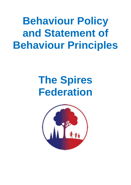**Behaviour Policy and Statement of Behaviour Principles**

# **The Spires Federation**

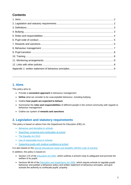## **Contents**

**…………………………………………………………………………………………………………………………….**

## **1. Aims**

This policy aims to:

- Provide a **consistent approach** to behaviour management
- **Define** what we consider to be unacceptable behaviour, including bullying
- Outline **how pupils are expected to behave**
- Summarise the **roles and responsibilities** of different people in the school community with regards to behaviour management
- Outline our system of **rewards and sanctions**

## **2. Legislation and statutory requirements**

This policy is based on advice from the Department for Education (DfE) on:

- [Behaviour and discipline in schools](https://www.gov.uk/government/publications/behaviour-and-discipline-in-schools)
- [Searching, screening and confiscation at school](https://www.gov.uk/government/publications/searching-screening-and-confiscation)
- [The Equality Act 2010](https://www.gov.uk/government/publications/equality-act-2010-advice-for-schools)
- [Use of reasonable force in schools](https://www.gov.uk/government/publications/use-of-reasonable-force-in-schools)
- [Supporting pupils with medical conditions at school](https://www.gov.uk/government/publications/supporting-pupils-at-school-with-medical-conditions--3)

It is also based on the [special educational needs and disability \(SEND\) code of practice.](https://www.gov.uk/government/publications/send-code-of-practice-0-to-25)

In addition, this policy is based on:

- Section 175 of the [Education Act 2002,](http://www.legislation.gov.uk/ukpga/2002/32/section/175) which outlines a school's duty to safeguard and promote the welfare of its pupils
- Sections 88-94 of the **Education and Inspections Act 2006**, which require schools to regulate pupils' behaviour and publish a behaviour policy and written statement of behaviour principles, and give schools the authority to confiscate pupils' property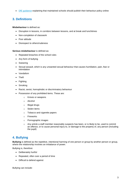• [DfE guidance](https://www.gov.uk/guidance/what-maintained-schools-must-publish-online#behaviour-policy) explaining that maintained schools should publish their behaviour policy online

## **3. Definitions**

**Misbehaviour** is defined as:

- Disruption in lessons, in corridors between lessons, and at break and lunchtimes
- Non-completion of classwork
- Poor attitude
- Disrespect to others/rudeness

#### **Serious misbehaviour** is defined as:

- Repeated breaches of the school rules
- Any form of bullying
- Swearing
- Sexual assault, which is any unwanted sexual behaviour that causes humiliation, pain, fear or intimidation
- Vandalism
- Theft
- Fighting
- Smoking
- Racist, sexist, homophobic or discriminatory behaviour
- Possession of any prohibited items. These are:
	- o Knives or weapons
	- o Alcohol
	- o Illegal drugs
	- o Stolen items
	- o Tobacco and cigarette papers
	- o Fireworks
	- o Pornographic images
	- $\circ$  Any article a staff member reasonably suspects has been, or is likely to be, used to commit an offence, or to cause personal injury to, or damage to the property of, any person (including the pupil)

## **4. Bullying**

**Bullying** is defined as the repetitive, intentional harming of one person or group by another person or group, where the relationship involves an imbalance of power.

Bullying is, therefore:

- Deliberately hurtful
- Repeated, often over a period of time
- Difficult to defend against

Bullying can include: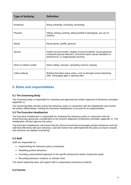| <b>Type of bullying</b>   | <b>Definition</b>                                                                                                                                                                   |
|---------------------------|-------------------------------------------------------------------------------------------------------------------------------------------------------------------------------------|
| Emotional                 | Being unfriendly, excluding, tormenting                                                                                                                                             |
| Physical                  | Hitting, kicking, pushing, taking another's belongings, any use of<br>violence                                                                                                      |
| Racial                    | Racial taunts, graffiti, gestures                                                                                                                                                   |
| Sexual                    | Explicit sexual remarks, display of sexual material, sexual gestures,<br>unwanted physical attention, comments about sexual reputation or<br>performance, or inappropriate touching |
| Direct or indirect verbal | Name-calling, sarcasm, spreading rumours, teasing                                                                                                                                   |
| Cyber-bullying            | Bullying that takes place online, such as through social networking<br>sites, messaging apps or gaming sites                                                                        |

## **5. Roles and responsibilities**

#### **5.1 The Governing Body**

The Governing body is responsible for reviewing and approving the written statement of behaviour principles (appendix 1).

The Governing Body will also review this behaviour policy in conjunction with the headteacher and monitor the policy's effectiveness, holding the Executive Headteacher to account for its implementation.

#### **5.2 The Executive Headteacher**

The Executive Headteacher is responsible for reviewing this behaviour policy in conjunction with the Governing body giving due consideration to the school's statement of behaviour principles (appendix 1). The headteacher will also approve this policy.

The Executive Headteacher will ensure that the school environment encourages positive behaviour and that staff deal effectively with poor behaviour, and will monitor how staff implement this policy to ensure rewards and sanctions are applied consistently.

#### **5.3 Staff**

Staff are responsible for:

- Implementing the behaviour policy consistently
- Modelling positive behaviour
- Providing a personalised approach to the specific behavioural needs of particular pupils
- Recording behaviour incidents on Scholar Pack

The senior leadership team will support staff in responding to behaviour incidents.

#### **5.4 Parents**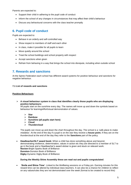Parents are expected to:

- Support their child in adhering to the pupil code of conduct
- Inform the school of any changes in circumstances that may affect their child's behaviour
- Discuss any behavioural concerns with the class teacher promptly

## **6. Pupil code of conduct**

Pupils are expected to:

- Behave in an orderly and self-controlled way
- Show respect to members of staff and each other
- In class, make it possible for all pupils to learn
- Move quietly around the school
- Treat the school buildings and school property with respect
- Accept sanctions when given
- Refrain from behaving in a way that brings the school into disrepute, including when outside school

## **7. Rewards and sanctions**

At the Spires Federation each school has different award systems for positive behaviour and sanctions for negative behaviour.

#### **7.1 List of rewards and sanctions**

#### **Positive Behaviours**

 **A visual behaviour system in class that identifies clearly those pupils who are displaying positive behaviours:**

All pupils start on the sunshine every day. The names will move up and down the symbols based on behaviour for learning/effort/visual demonstration of values.

- **Star**
- **Rainbow**
- **Sunshine (all pupils start here)**
- **Cloud**
- **Thundercloud**

The pupils can move up and down the chart throughout the day. The school is a *'safe place to make mistakes'*. At the end of the day if a pupil is on the star they receive a **house point.** If they are on the thundercloud at the end of the day they refer to the **Sanctions** part of the policy.

 **Headteacher/SLT award book:** When a child has done something above and beyond, demonstrating resilience, determination, values in action etc they are directed to a member of SLT to go in the book and a Headteacher's award sticker is given and stuck on relevant work: **Nocton-**Bright Sparks Book of Brilliance **Dunston-**Dunston Book of Brilliance **Digby**-Dynamic Digby Book of Brilliance

#### **During the Weekly Shine Assembly these are read out and pupils congratulated**.

 '**Smile and Shine Time'**. Linked to the Wellbeing sessions on a Friday pm. Earning minutes for this reward time can be altered by individual class teachers. It can also be a chance for children to reflect on any values/rules they are not demonstrated over the week (format to be created to record this)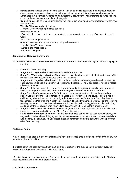- **House points** in class and across the school linked to the Rainbow and the behaviour charts in class. House captains to collect up class house points so that a ½ Termly winning house can be announced in Celebration Assembly/Shine Assembly. New trophy (with matching coloured ribbons to be purchased for each school and displayed)
- **Golden Rules** –Same Golden rules across the Federation developed every September for the new academic year.
- **Weekly Shine Assembly** to include:

-Teacher Certificate (one per class per week)

-Headteacher Book

-Values trophy – awarded to one person who has demonstrated the current Value over the past week

-One class sharing their work

-Any achievement from home and/or sporting achievements.

- -Termly House Winners Trophy
- -Writer of the Week Trophy
- -Attendance Trophy

#### **Sanctions for Negative Behaviours**

If a child should choose to break the rules in class/around schools, then the following sanctions will apply for that day;

- **Stage 1 –** Verbal Warning
- **Stage 2 1st negative behaviour-Name moved down the chart**
- **Stage 3 2<sup>nd</sup> negative behaviour-Name moved down the chart again onto the thundercloud (This** results in the child missing 5 minutes of the next playtime
- **Stage 4 3<sup>rd</sup> Negative behaviour-If** child continues to demonstrate negative behaviour then the child now is sent to see a member of SLT (instantly if possible)/ The Class teacher needs to record this on Scholarpack.
- **Stage 5 –** If this continues, the parents are now informed either as a phonecall or ideally face to face. CT to log on Scholarpack. **(Start on this stage if a behaviour is more serious)**
- **Stage 6 -** If the Class teacher and/or SLT deem it necessary then the child can be placed on Report/Behaviour Card. This is for repeated Stage 5's or for severe behaviours. This involves the child having a behaviour card (to be designed for use across the Federation). Each day the class teacher records Positives and Negatives of that day. The child then meets with SLT on the following Monday morning to discuss their Behaviour Card. This discussion is logged on Scholarpack. They are taken off the Behaviour Card when Class Teacher and SLT see suitable improvement.
- **Stage 7 –** External behavioural support services (BOSS, Pupil Reintegration Team, Specialist SEN teams) are involved and a Behaviour Plan /Contract is written.
- **Fixed Term/Permanent Exclusion –** an exclusion for fixed period can be used for acts of physical aggression, verbal abuse, bringing harmful substances/objects on the premises, acts of vandalism and stealing, racial abuse, sexual misconduct and persistent disruptive behaviour which prevents other from learning.

#### **Additional Points**

-Class Teachers to keep a log of any children who have progressed onto the stages so that if the behaviour persists a 'picture' is built up.

-For class sanctions each day is a fresh start, all children return to the sunshine at the start of every day (however the log mentioned above builds the picture)

- A child should never miss more than 5 minutes of their playtime for a sanction or to finish work. Children need movement and fresh air in order to learn.

#### **7.2 Off-site behaviour**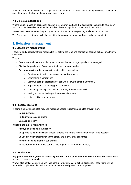Sanctions may be applied where a pupil has misbehaved off-site when representing the school, such as on a school trip or on the bus on the way to or from school.

#### **7.3 Malicious allegations**

Where a pupil makes an accusation against a member of staff and that accusation is shown to have been malicious, the Executive Headteacher will discipline the pupil in accordance with this policy.

Please refer to our safeguarding policy for more information on responding to allegations of abuse.

The Executive Headteacher will also consider the pastoral needs of staff accused of misconduct.

### **8. Behaviour management**

#### **8.1 Classroom management**

Teaching and support staff are responsible for setting the tone and context for positive behaviour within the classroom.

They will:

- Create and maintain a stimulating environment that encourages pupils to be engaged
- Display the pupil code of conduct or their own classroom rules
- Develop a positive relationship with pupils, which may include:
	- o Greeting pupils in the morning/at the start of lessons
	- o Establishing clear routines
	- o Communicating expectations of behaviour in ways other than verbally
	- o Highlighting and promoting good behaviour
	- o Concluding the day positively and starting the next day afresh
	- o Having a plan for dealing with low-level disruption
	- o Using positive reinforcement

#### **8.2 Physical restraint**

In some circumstances, staff may use reasonable force to restrain a pupil to prevent them:

- Causing disorder
- Hurting themselves or others
- Damaging property

Incidents of physical restraint must:

- **Always be used as a last resort**
- Be applied using the minimum amount of force and for the minimum amount of time possible
- Be used in a way that maintains the safety and dignity of all concerned
- Never be used as a form of punishment
- Be recorded and reported to parents (see appendix 3 for a behaviour log)

#### **8.3 Confiscation**

**Any prohibited items (listed in section 3) found in pupils' possession will be confiscated.** These items will not be returned to pupils.

We will also confiscate any item which is harmful or detrimental to school discipline. These items will be returned to pupils after discussion with senior leaders and parents, if appropriate.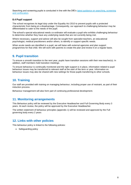Searching and screening pupils is conducted in line with the DfE's latest guidance on searching, screening [and confiscation.](https://www.gov.uk/government/publications/searching-screening-and-confiscation)

#### **8.4 Pupil support**

The school recognises its legal duty under the Equality Act 2010 to prevent pupils with a protected characteristic from being at a disadvantage. Consequently, our approach to challenging behaviour may be differentiated to cater to the needs of the pupil.

The school's special educational needs co-ordinator will evaluate a pupil who exhibits challenging behaviour to determine whether they have any underlying needs that are not currently being met.

Where necessary, support and advice will also be sought from specialist teachers, an educational psychologist, medical practitioners and/or others, to identify or support specific needs.

When acute needs are identified in a pupil, we will liaise with external agencies and plan support programmes for that child. We will work with parents to create the plan and review it on a regular basis.

## **9. Pupil transition**

To ensure a smooth transition to the next year, pupils have transition sessions with their new teacher(s). In addition, staff members hold transition meetings.

To ensure behaviour is continually monitored and the right support is in place, information related to pupil behaviour issues may be transferred to relevant staff at the start of the term or year. Information on behaviour issues may also be shared with new settings for those pupils transferring to other schools.

## **10. Training**

Our staff are provided with training on managing behaviour, including proper use of restraint, as part of their induction process.

Behaviour management will also form part of continuing professional development.

## **11. Monitoring arrangements**

This Behaviour policy will be reviewed by the Executive Headteacher and Full Governing Body every 3 years. At each review, the policy will be approved by the Executive Headteacher.

The written statement of behaviour principles (appendix 1) will be reviewed and approved by the Full governing body every 2 years

## **12. Links with other policies**

This behaviour policy is linked to the following policies:

• Safeguarding policy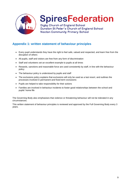

## **SpiresFederation**

Digby Church of England School Dunston St Peter's Church of England School **Nocton Community Primary School** 

## **Appendix 1: written statement of behaviour principles**

- Every pupil understands they have the right to feel safe, valued and respected, and learn free from the disruption of others
- All pupils, staff and visitors are free from any form of discrimination
- Staff and volunteers set an excellent example to pupils at all times
- Rewards, sanctions and reasonable force are used consistently by staff, in line with the behaviour policy
- The behaviour policy is understood by pupils and staff
- The exclusions policy explains that exclusions will only be used as a last resort, and outlines the processes involved in permanent and fixed-term exclusions
- Pupils are helped to take responsibility for their actions
- Families are involved in behaviour incidents to foster good relationships between the school and pupils' home life

The Governing Body also emphasises that violence or threatening behaviour will not be tolerated in any circumstances.

This written statement of behaviour principles is reviewed and approved by the Full Governing Body every 3 years.